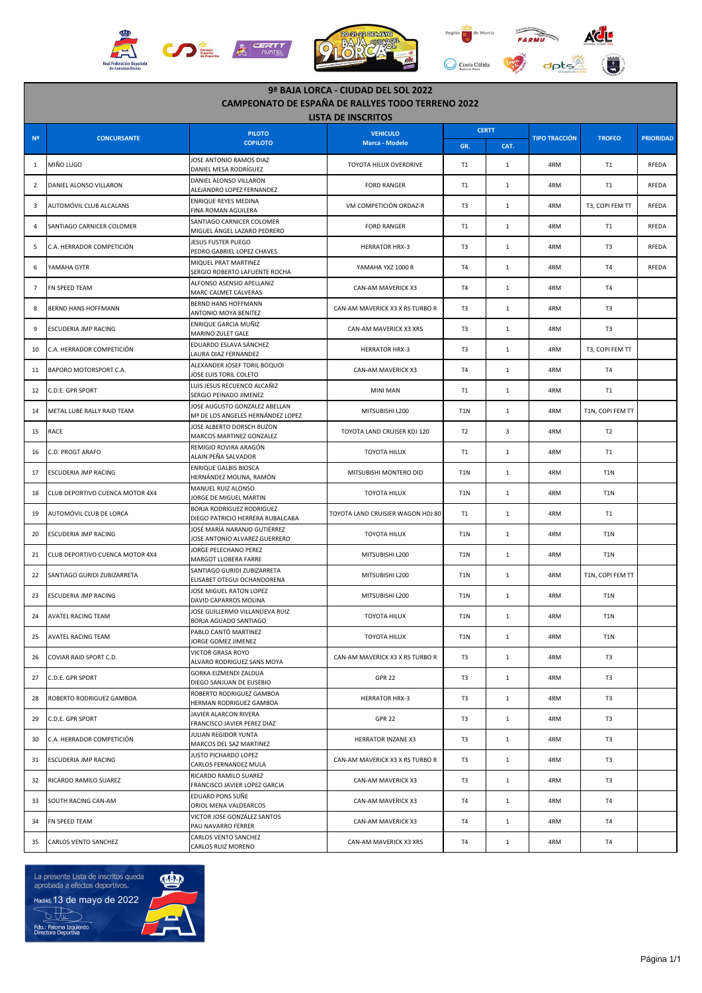

| 9ª BAJA LORCA - CIUDAD DEL SOL 2022<br><b>CAMPEONATO DE ESPAÑA DE RALLYES TODO TERRENO 2022</b> |                                 |                                                                    |                                   |                  |              |                      |                  |                  |  |  |  |
|-------------------------------------------------------------------------------------------------|---------------------------------|--------------------------------------------------------------------|-----------------------------------|------------------|--------------|----------------------|------------------|------------------|--|--|--|
| <b>LISTA DE INSCRITOS</b>                                                                       |                                 |                                                                    |                                   |                  |              |                      |                  |                  |  |  |  |
| N <sup>2</sup>                                                                                  | <b>CONCURSANTE</b>              | <b>PILOTO</b><br><b>COPILOTO</b>                                   | <b>VEHICULO</b><br>Marca - Modelo |                  | <b>CERTT</b> | <b>TIPO TRACCIÓN</b> | <b>TROFEO</b>    | <b>PRIORIDAD</b> |  |  |  |
|                                                                                                 |                                 | JOSE ANTONIO RAMOS DIAZ                                            |                                   | GR.              | CAT.         |                      |                  |                  |  |  |  |
| 1                                                                                               | MIÑO LUGO                       | DANIEL MESA RODRÍGUEZ                                              | TOYOTA HILUX OVERDRIVE            | T <sub>1</sub>   | $\mathbf{1}$ | 4RM                  | <b>T1</b>        | RFEDA            |  |  |  |
| $\overline{2}$                                                                                  | DANIEL ALONSO VILLARON          | DANIEL ALONSO VILLARON<br>ALEJANDRO LOPEZ FERNANDEZ                | <b>FORD RANGER</b>                | T <sub>1</sub>   | $\mathbf{1}$ | 4RM                  | T1               | RFEDA            |  |  |  |
| 3                                                                                               | AUTOMÓVIL CLUB ALCALANS         | ENRIQUE REYES MEDINA<br>FINA ROMAN AGUILERA                        | VM COMPETICIÓN ORDAZ-R            | T3               | $\mathbf{1}$ | 4RM                  | T3, COPI FEM TT  | <b>RFEDA</b>     |  |  |  |
| 4                                                                                               | SANTIAGO CARNICER COLOMER       | SANTIAGO CARNICER COLOMER<br>MIGUEL ÁNGEL LAZARO PEDRERO           | <b>FORD RANGER</b>                | T <sub>1</sub>   | $\mathbf{1}$ | 4RM                  | <b>T1</b>        | RFEDA            |  |  |  |
| 5                                                                                               | C.A. HERRADOR COMPETICIÓN       | <b>JESUS FUSTER PLIEGO</b><br>PEDRO GABRIEL LOPEZ CHAVES           | <b>HERRATOR HRX-3</b>             | T <sub>3</sub>   | $\mathbf{1}$ | 4RM                  | T <sub>3</sub>   | RFEDA            |  |  |  |
| 6                                                                                               | YAMAHA GYTR                     | MIQUEL PRAT MARTINEZ<br>SERGIO ROBERTO LAFUENTE ROCHA              | YAMAHA YXZ 1000 R                 | T <sub>4</sub>   | $\mathbf{1}$ | 4RM                  | T <sub>4</sub>   | RFEDA            |  |  |  |
| $\overline{7}$                                                                                  | FN SPEED TEAM                   | ALFONSO ASENSIO APELLANIZ<br>MARC CALMET CALVERAS                  | CAN-AM MAVERICK X3                | T4               | $\mathbf{1}$ | 4RM                  | T <sub>4</sub>   |                  |  |  |  |
| 8                                                                                               | BERND HANS HOFFMANN             | BERND HANS HOFFMANN<br>ANTONIO MOYA BENITEZ                        | CAN-AM MAVERICK X3 X RS TURBO R   | T3               | $\mathbf{1}$ | 4RM                  | T <sub>3</sub>   |                  |  |  |  |
| 9                                                                                               | ESCUDERIA JMP RACING            | ENRIQUE GARCIA MUÑIZ<br>MARINO ZULET GALE                          | CAN-AM MAVERICK X3 XRS            | T3               | $\mathbf{1}$ | 4RM                  | T <sub>3</sub>   |                  |  |  |  |
| 10                                                                                              | C.A. HERRADOR COMPETICIÓN       | EDUARDO ESLAVA SÁNCHEZ<br>LAURA DIAZ FERNANDEZ                     | <b>HERRATOR HRX-3</b>             | T3               | $\mathbf{1}$ | 4RM                  | T3, COPI FEM TT  |                  |  |  |  |
| 11                                                                                              | BAPORO MOTORSPORT C.A.          | ALEXANDER JOSEF TORIL BOQUOI<br>JOSE LUIS TORIL COLETO             | CAN-AM MAVERICK X3                | T <sub>4</sub>   | $\mathbf{1}$ | 4RM                  | T <sub>4</sub>   |                  |  |  |  |
| 12                                                                                              | C.D.E. GPR SPORT                | LUIS JESUS RECUENCO ALCAÑIZ<br>SERGIO PEINADO JIMENEZ              | <b>MINI MAN</b>                   | T <sub>1</sub>   | $\mathbf{1}$ | 4RM                  | <b>T1</b>        |                  |  |  |  |
| 14                                                                                              | METAL LUBE RALLY RAID TEAM      | JOSE AUGUSTO GONZALEZ ABELLAN<br>Mª DE LOS ANGELES HERNÁNDEZ LOPEZ | MITSUBISHI L200                   | T <sub>1</sub> N | $\mathbf{1}$ | 4RM                  | T1N, COPI FEM TT |                  |  |  |  |
| 15                                                                                              | RACE                            | JOSE ALBERTO DORSCH BUZON<br>MARCOS MARTINEZ GONZALEZ              | TOYOTA LAND CRUISER KDJ 120       | T <sub>2</sub>   | 3            | 4RM                  | T <sub>2</sub>   |                  |  |  |  |
| 16                                                                                              | C.D. PROGT ARAFO                | REMIGIO ROVIRA ARAGÓN<br>ALAIN PEÑA SALVADOR                       | TOYOTA HILUX                      | T1               | $\mathbf{1}$ | 4RM                  | T1               |                  |  |  |  |
| 17                                                                                              | ESCUDERIA JMP RACING            | <b>ENRIQUE GALBIS BIOSCA</b><br>HERNÁNDEZ MOLINA, RAMÓN            | MITSUBISHI MONTERO DID            | T <sub>1</sub> N | $\mathbf{1}$ | 4RM                  | T <sub>1</sub> N |                  |  |  |  |
| 18                                                                                              | CLUB DEPORTIVO CUENCA MOTOR 4X4 | MANUEL RUIZ ALONSO<br>JORGE DE MIGUEL MARTIN                       | TOYOTA HILUX                      | T <sub>1</sub> N | $\mathbf{1}$ | 4RM                  | T1N              |                  |  |  |  |
| 19                                                                                              | AUTOMÓVIL CLUB DE LORCA         | BORJA RODRIGUEZ RODRIGUEZ<br>DIEGO PATRICIO HERRERA RUBALCABA      | TOYOTA LAND CRUISIER WAGON HDJ 80 | T1               | $\mathbf{1}$ | 4RM                  | T1               |                  |  |  |  |
| 20                                                                                              | ESCUDERIA JMP RACING            | JOSÉ MARÍA NARANJO GUTIÉRREZ<br>JOSE ANTONIO ALVAREZ GUERRERO      | TOYOTA HILUX                      | T <sub>1</sub> N | $\mathbf{1}$ | 4RM                  | T <sub>1</sub> N |                  |  |  |  |
| 21                                                                                              | CLUB DEPORTIVO CUENCA MOTOR 4X4 | JORGE PELECHANO PEREZ<br>MARGOT LLOBERA FARRE                      | MITSUBISHI L200                   | T <sub>1</sub> N | $\mathbf{1}$ | 4RM                  | T <sub>1</sub> N |                  |  |  |  |
| 22                                                                                              | SANTIAGO GURIDI ZUBIZARRETA     | SANTIAGO GURIDI ZUBIZARRETA<br>ELISABET OTEGUI OCHANDORENA         | MITSUBISHI L200                   | T <sub>1</sub> N | $\mathbf{1}$ | 4RM                  | T1N, COPI FEM TT |                  |  |  |  |
| 23                                                                                              | ESCUDERIA JMP RACING            | JOSE MIGUEL RATON LOPEZ<br>DAVID CAPARROS MOLINA                   | MITSUBISHI L200                   | T <sub>1</sub> N | $\mathbf{1}$ | 4RM                  | T1N              |                  |  |  |  |
| 24                                                                                              | AVATEL RACING TEAM              | JOSE GUILLERMO VILLANUEVA RUIZ<br>BORJA AGUADO SANTIAGO            | TOYOTA HILUX                      | T <sub>1</sub> N | 1            | 4RM                  | T1N              |                  |  |  |  |
| 25                                                                                              | <b>AVATEL RACING TEAM</b>       | PABLO CANTÓ MARTINEZ<br>JORGE GOMEZ JIMENEZ                        | TOYOTA HILUX                      | T1N              | $\mathbf{1}$ | 4RM                  | T <sub>1</sub> N |                  |  |  |  |
| 26                                                                                              | COVIAR RAID SPORT C.D.          | <b>VICTOR GRASA ROYO</b><br>ALVARO RODRIGUEZ SANS MOYA             | CAN-AM MAVERICK X3 X RS TURBO R   | T3               | $\mathbf{1}$ | 4RM                  | T <sub>3</sub>   |                  |  |  |  |
| 27                                                                                              | C.D.E. GPR SPORT                | GORKA EIZMENDI ZALDUA<br>DIEGO SANJUAN DE EUSEBIO                  | <b>GPR 22</b>                     | T3               | $\mathbf{1}$ | 4RM                  | T3               |                  |  |  |  |
| 28                                                                                              | ROBERTO RODRIGUEZ GAMBOA        | ROBERTO RODRIGUEZ GAMBOA<br>HERMAN RODRIGUEZ GAMBOA                | <b>HERRATOR HRX-3</b>             | T3               | $\mathbf{1}$ | 4RM                  | T3               |                  |  |  |  |
| 29                                                                                              | C.D.E. GPR SPORT                | JAVIER ALARCON RIVERA<br>FRANCISCO JAVIER PEREZ DIAZ               | <b>GPR 22</b>                     | T3               | $\mathbf{1}$ | 4RM                  | T <sub>3</sub>   |                  |  |  |  |
| 30                                                                                              | C.A. HERRADOR COMPETICIÓN       | JULIAN REGIDOR YUNTA<br>MARCOS DEL SAZ MARTINEZ                    | <b>HERRATOR INZANE X3</b>         | T3               | $\mathbf{1}$ | 4RM                  | T <sub>3</sub>   |                  |  |  |  |
| 31                                                                                              | ESCUDERIA JMP RACING            | JUSTO PICHARDO LOPEZ<br>CARLOS FERNANDEZ MULA                      | CAN-AM MAVERICK X3 X RS TURBO R   | T3               | $\mathbf{1}$ | 4RM                  | T3               |                  |  |  |  |
| 32                                                                                              | RICARDO RAMILO SUAREZ           | RICARDO RAMILO SUAREZ<br>FRANCISCO JAVIER LOPEZ GARCIA             | CAN-AM MAVERICK X3                | T3               | $\mathbf{1}$ | 4RM                  | T3               |                  |  |  |  |
| 33                                                                                              | SOUTH RACING CAN-AM             | EDUARD PONS SUÑE<br>ORIOL MENA VALDEARCOS                          | CAN-AM MAVERICK X3                | T4               | $\mathbf{1}$ | 4RM                  | T <sub>4</sub>   |                  |  |  |  |
| 34                                                                                              | FN SPEED TEAM                   | VICTOR JOSE GONZÁLEZ SANTOS<br>PAU NAVARRO FERRER                  | CAN-AM MAVERICK X3                | T4               | $\mathbf{1}$ | 4RM                  | T <sub>4</sub>   |                  |  |  |  |
| 35                                                                                              | CARLOS VENTO SANCHEZ            | CARLOS VENTO SANCHEZ<br>CARLOS RUIZ MORENO                         | CAN-AM MAVERICK X3 XRS            | T <sub>4</sub>   | $\mathbf{1}$ | 4RM                  | T4               |                  |  |  |  |



ŧ